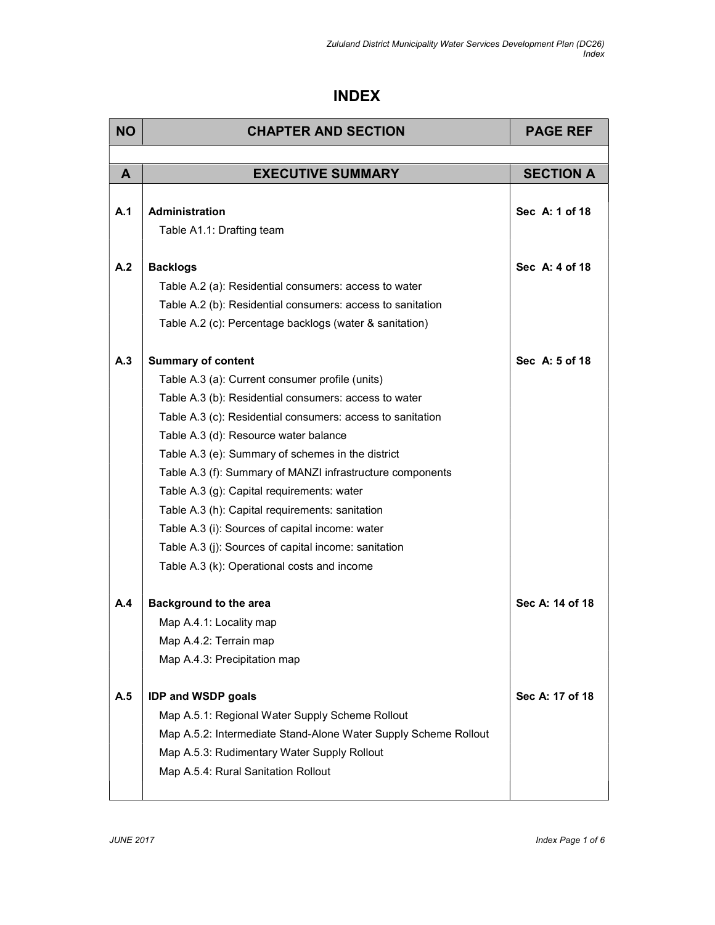## INDEX

| <b>NO</b> | <b>CHAPTER AND SECTION</b>                                      | <b>PAGE REF</b>  |
|-----------|-----------------------------------------------------------------|------------------|
|           |                                                                 |                  |
| A         | <b>EXECUTIVE SUMMARY</b>                                        | <b>SECTION A</b> |
|           |                                                                 |                  |
| A.1       | Administration                                                  | Sec A: 1 of 18   |
|           | Table A1.1: Drafting team                                       |                  |
| A.2       | <b>Backlogs</b>                                                 | Sec A: 4 of 18   |
|           | Table A.2 (a): Residential consumers: access to water           |                  |
|           | Table A.2 (b): Residential consumers: access to sanitation      |                  |
|           | Table A.2 (c): Percentage backlogs (water & sanitation)         |                  |
|           |                                                                 |                  |
| A.3       | <b>Summary of content</b>                                       | Sec A: 5 of 18   |
|           | Table A.3 (a): Current consumer profile (units)                 |                  |
|           | Table A.3 (b): Residential consumers: access to water           |                  |
|           | Table A.3 (c): Residential consumers: access to sanitation      |                  |
|           | Table A.3 (d): Resource water balance                           |                  |
|           | Table A.3 (e): Summary of schemes in the district               |                  |
|           | Table A.3 (f): Summary of MANZI infrastructure components       |                  |
|           | Table A.3 (g): Capital requirements: water                      |                  |
|           | Table A.3 (h): Capital requirements: sanitation                 |                  |
|           | Table A.3 (i): Sources of capital income: water                 |                  |
|           | Table A.3 (j): Sources of capital income: sanitation            |                  |
|           | Table A.3 (k): Operational costs and income                     |                  |
| A.4       | <b>Background to the area</b>                                   | Sec A: 14 of 18  |
|           | Map A.4.1: Locality map                                         |                  |
|           | Map A.4.2: Terrain map                                          |                  |
|           | Map A.4.3: Precipitation map                                    |                  |
|           |                                                                 |                  |
| A.5       | <b>IDP and WSDP goals</b>                                       | Sec A: 17 of 18  |
|           | Map A.5.1: Regional Water Supply Scheme Rollout                 |                  |
|           | Map A.5.2: Intermediate Stand-Alone Water Supply Scheme Rollout |                  |
|           | Map A.5.3: Rudimentary Water Supply Rollout                     |                  |
|           | Map A.5.4: Rural Sanitation Rollout                             |                  |
|           |                                                                 |                  |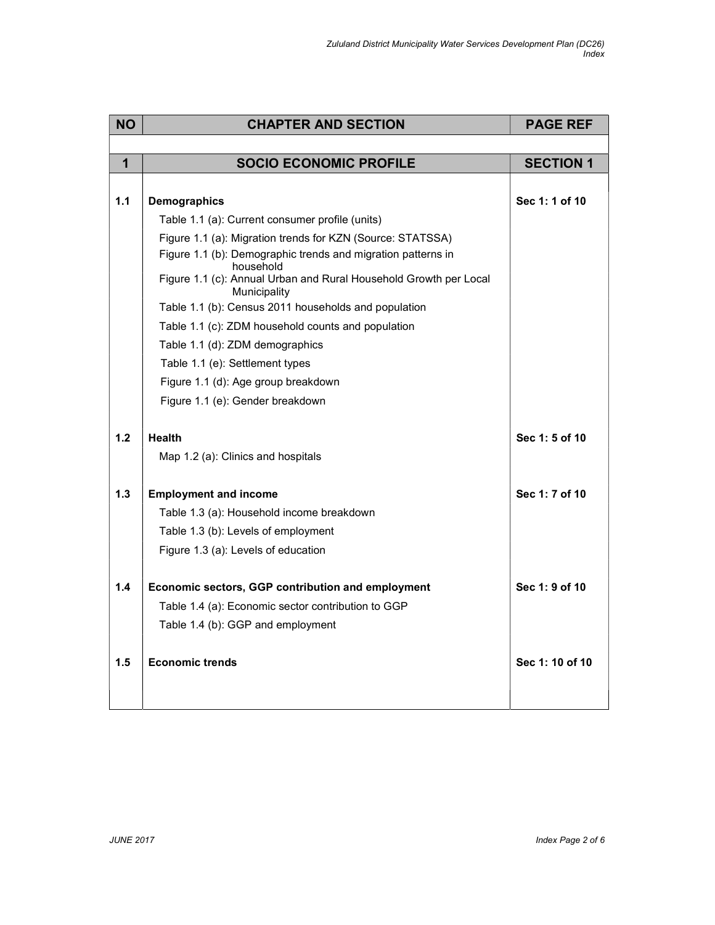| <b>NO</b>    | <b>CHAPTER AND SECTION</b>                                                        | <b>PAGE REF</b>  |
|--------------|-----------------------------------------------------------------------------------|------------------|
|              |                                                                                   |                  |
| $\mathbf{1}$ | <b>SOCIO ECONOMIC PROFILE</b>                                                     | <b>SECTION 1</b> |
|              |                                                                                   |                  |
| 1.1          | <b>Demographics</b>                                                               | Sec 1: 1 of 10   |
|              | Table 1.1 (a): Current consumer profile (units)                                   |                  |
|              | Figure 1.1 (a): Migration trends for KZN (Source: STATSSA)                        |                  |
|              | Figure 1.1 (b): Demographic trends and migration patterns in<br>household         |                  |
|              | Figure 1.1 (c): Annual Urban and Rural Household Growth per Local<br>Municipality |                  |
|              | Table 1.1 (b): Census 2011 households and population                              |                  |
|              | Table 1.1 (c): ZDM household counts and population                                |                  |
|              | Table 1.1 (d): ZDM demographics                                                   |                  |
|              | Table 1.1 (e): Settlement types                                                   |                  |
|              | Figure 1.1 (d): Age group breakdown                                               |                  |
|              | Figure 1.1 (e): Gender breakdown                                                  |                  |
|              |                                                                                   |                  |
| 1.2          | <b>Health</b>                                                                     | Sec 1: 5 of 10   |
|              | Map 1.2 (a): Clinics and hospitals                                                |                  |
|              |                                                                                   |                  |
| $1.3$        | <b>Employment and income</b>                                                      | Sec 1: 7 of 10   |
|              | Table 1.3 (a): Household income breakdown                                         |                  |
|              | Table 1.3 (b): Levels of employment                                               |                  |
|              | Figure 1.3 (a): Levels of education                                               |                  |
| 1.4          | Economic sectors, GGP contribution and employment                                 | Sec 1: 9 of 10   |
|              | Table 1.4 (a): Economic sector contribution to GGP                                |                  |
|              | Table 1.4 (b): GGP and employment                                                 |                  |
|              |                                                                                   |                  |
| 1.5          | <b>Economic trends</b>                                                            | Sec 1: 10 of 10  |
|              |                                                                                   |                  |
|              |                                                                                   |                  |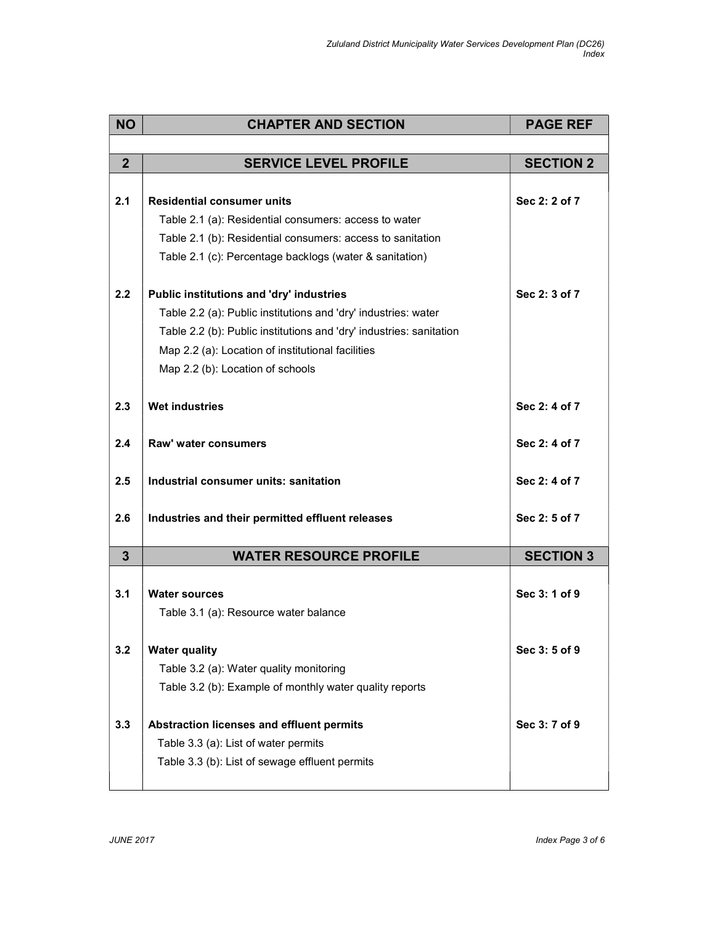| <b>NO</b>      | <b>CHAPTER AND SECTION</b>                                          | <b>PAGE REF</b>  |
|----------------|---------------------------------------------------------------------|------------------|
|                |                                                                     |                  |
| $\overline{2}$ | <b>SERVICE LEVEL PROFILE</b>                                        | <b>SECTION 2</b> |
|                |                                                                     |                  |
| 2.1            | <b>Residential consumer units</b>                                   | Sec 2: 2 of 7    |
|                | Table 2.1 (a): Residential consumers: access to water               |                  |
|                | Table 2.1 (b): Residential consumers: access to sanitation          |                  |
|                | Table 2.1 (c): Percentage backlogs (water & sanitation)             |                  |
| 2.2            | Public institutions and 'dry' industries                            | Sec 2: 3 of 7    |
|                | Table 2.2 (a): Public institutions and 'dry' industries: water      |                  |
|                | Table 2.2 (b): Public institutions and 'dry' industries: sanitation |                  |
|                | Map 2.2 (a): Location of institutional facilities                   |                  |
|                | Map 2.2 (b): Location of schools                                    |                  |
| 2.3            | <b>Wet industries</b>                                               | Sec 2: 4 of 7    |
|                |                                                                     |                  |
| 2.4            | Raw' water consumers                                                | Sec 2: 4 of 7    |
| 2.5            | Industrial consumer units: sanitation                               | Sec 2: 4 of 7    |
| 2.6            | Industries and their permitted effluent releases                    | Sec 2: 5 of 7    |
| $\overline{3}$ | <b>WATER RESOURCE PROFILE</b>                                       | <b>SECTION 3</b> |
|                |                                                                     |                  |
| 3.1            | <b>Water sources</b>                                                | Sec 3: 1 of 9    |
|                | Table 3.1 (a): Resource water balance                               |                  |
| 3.2            | <b>Water quality</b>                                                | Sec 3:5 of 9     |
|                | Table 3.2 (a): Water quality monitoring                             |                  |
|                | Table 3.2 (b): Example of monthly water quality reports             |                  |
| 3.3            | Abstraction licenses and effluent permits                           | Sec 3: 7 of 9    |
|                | Table 3.3 (a): List of water permits                                |                  |
|                | Table 3.3 (b): List of sewage effluent permits                      |                  |
|                |                                                                     |                  |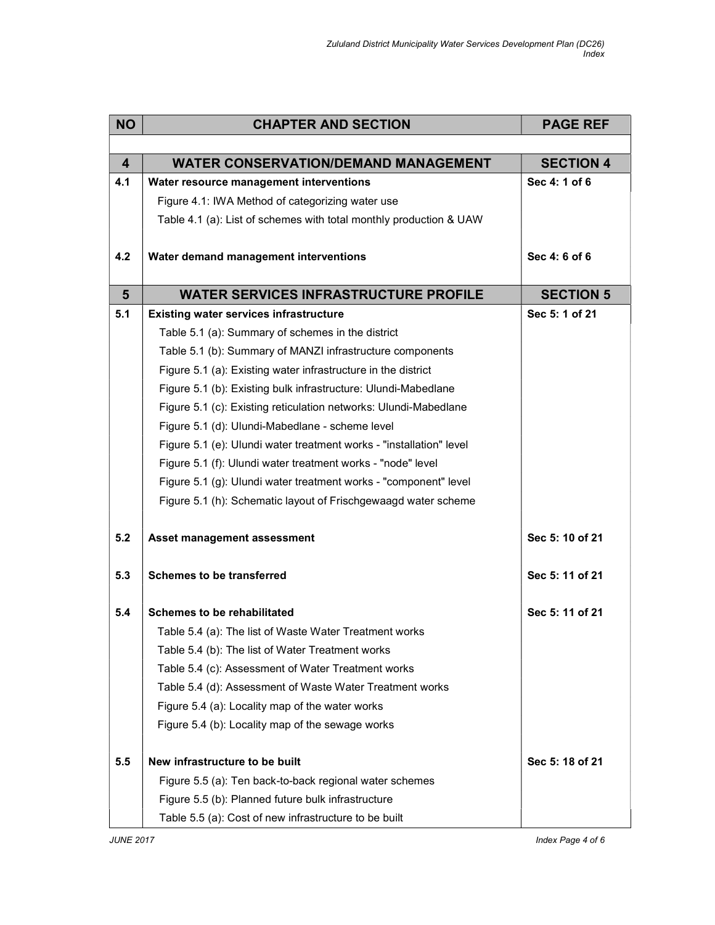| <b>NO</b>               | <b>CHAPTER AND SECTION</b>                                          | <b>PAGE REF</b>  |
|-------------------------|---------------------------------------------------------------------|------------------|
|                         |                                                                     |                  |
| $\overline{\mathbf{4}}$ | <b>WATER CONSERVATION/DEMAND MANAGEMENT</b>                         | <b>SECTION 4</b> |
| 4.1                     | Water resource management interventions                             | Sec 4: 1 of 6    |
|                         | Figure 4.1: IWA Method of categorizing water use                    |                  |
|                         | Table 4.1 (a): List of schemes with total monthly production & UAW  |                  |
|                         |                                                                     |                  |
| 4.2                     | Water demand management interventions                               | Sec 4: 6 of 6    |
| $5\phantom{1}$          | <b>WATER SERVICES INFRASTRUCTURE PROFILE</b>                        | <b>SECTION 5</b> |
| 5.1                     | <b>Existing water services infrastructure</b>                       | Sec 5: 1 of 21   |
|                         | Table 5.1 (a): Summary of schemes in the district                   |                  |
|                         | Table 5.1 (b): Summary of MANZI infrastructure components           |                  |
|                         | Figure 5.1 (a): Existing water infrastructure in the district       |                  |
|                         | Figure 5.1 (b): Existing bulk infrastructure: Ulundi-Mabedlane      |                  |
|                         | Figure 5.1 (c): Existing reticulation networks: Ulundi-Mabedlane    |                  |
|                         | Figure 5.1 (d): Ulundi-Mabedlane - scheme level                     |                  |
|                         | Figure 5.1 (e): Ulundi water treatment works - "installation" level |                  |
|                         | Figure 5.1 (f): Ulundi water treatment works - "node" level         |                  |
|                         | Figure 5.1 (g): Ulundi water treatment works - "component" level    |                  |
|                         | Figure 5.1 (h): Schematic layout of Frischgewaagd water scheme      |                  |
| 5.2                     | Asset management assessment                                         | Sec 5: 10 of 21  |
| 5.3                     | <b>Schemes to be transferred</b>                                    | Sec 5: 11 of 21  |
|                         |                                                                     |                  |
| 5.4                     | Schemes to be rehabilitated                                         | Sec 5: 11 of 21  |
|                         | Table 5.4 (a): The list of Waste Water Treatment works              |                  |
|                         | Table 5.4 (b): The list of Water Treatment works                    |                  |
|                         | Table 5.4 (c): Assessment of Water Treatment works                  |                  |
|                         | Table 5.4 (d): Assessment of Waste Water Treatment works            |                  |
|                         | Figure 5.4 (a): Locality map of the water works                     |                  |
|                         | Figure 5.4 (b): Locality map of the sewage works                    |                  |
| 5.5                     | New infrastructure to be built                                      | Sec 5: 18 of 21  |
|                         | Figure 5.5 (a): Ten back-to-back regional water schemes             |                  |
|                         | Figure 5.5 (b): Planned future bulk infrastructure                  |                  |
|                         | Table 5.5 (a): Cost of new infrastructure to be built               |                  |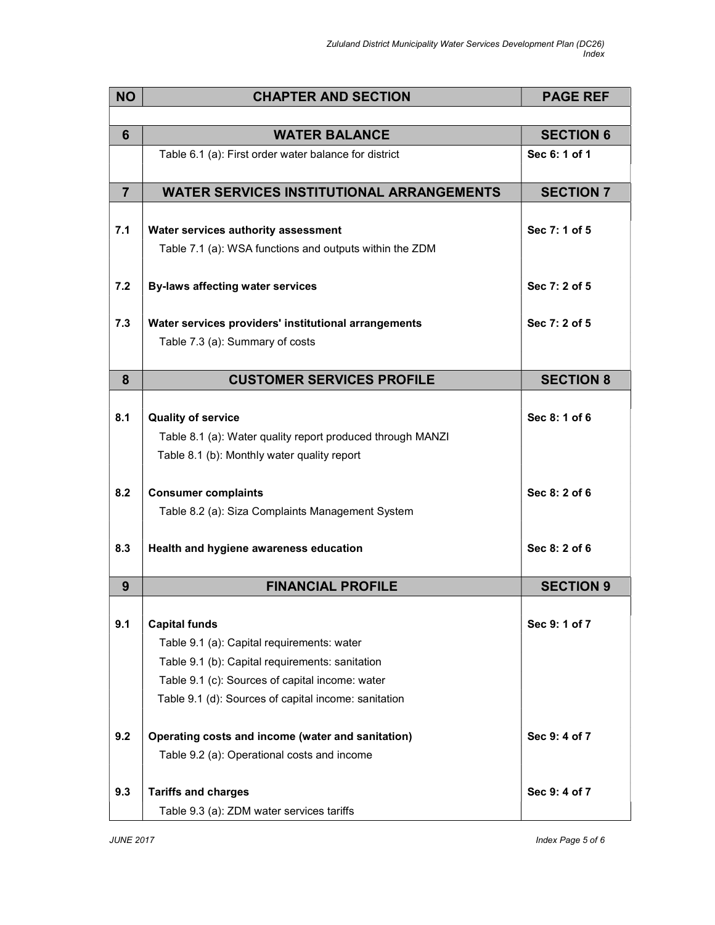| <b>NO</b>      | <b>CHAPTER AND SECTION</b>                                 | <b>PAGE REF</b>  |
|----------------|------------------------------------------------------------|------------------|
|                |                                                            |                  |
| 6              | <b>WATER BALANCE</b>                                       | <b>SECTION 6</b> |
|                | Table 6.1 (a): First order water balance for district      | Sec 6: 1 of 1    |
| $\overline{7}$ | <b>WATER SERVICES INSTITUTIONAL ARRANGEMENTS</b>           | <b>SECTION 7</b> |
|                |                                                            |                  |
| 7.1            | Water services authority assessment                        | Sec 7: 1 of 5    |
|                | Table 7.1 (a): WSA functions and outputs within the ZDM    |                  |
|                |                                                            |                  |
| 7.2            | <b>By-laws affecting water services</b>                    | Sec 7: 2 of 5    |
|                |                                                            |                  |
| 7.3            | Water services providers' institutional arrangements       | Sec 7: 2 of 5    |
|                | Table 7.3 (a): Summary of costs                            |                  |
|                |                                                            |                  |
| 8              | <b>CUSTOMER SERVICES PROFILE</b>                           | <b>SECTION 8</b> |
| 8.1            | <b>Quality of service</b>                                  | Sec 8: 1 of 6    |
|                | Table 8.1 (a): Water quality report produced through MANZI |                  |
|                | Table 8.1 (b): Monthly water quality report                |                  |
|                |                                                            |                  |
| 8.2            | <b>Consumer complaints</b>                                 | Sec 8: 2 of 6    |
|                | Table 8.2 (a): Siza Complaints Management System           |                  |
|                |                                                            |                  |
| 8.3            | Health and hygiene awareness education                     | Sec 8: 2 of 6    |
|                |                                                            |                  |
| 9              | <b>FINANCIAL PROFILE</b>                                   | <b>SECTION 9</b> |
|                |                                                            |                  |
| 9.1            | <b>Capital funds</b>                                       | Sec 9: 1 of 7    |
|                | Table 9.1 (a): Capital requirements: water                 |                  |
|                | Table 9.1 (b): Capital requirements: sanitation            |                  |
|                | Table 9.1 (c): Sources of capital income: water            |                  |
|                | Table 9.1 (d): Sources of capital income: sanitation       |                  |
| 9.2            | Operating costs and income (water and sanitation)          | Sec 9:4 of 7     |
|                | Table 9.2 (a): Operational costs and income                |                  |
|                |                                                            |                  |
| 9.3            | <b>Tariffs and charges</b>                                 | Sec 9:4 of 7     |
|                | Table 9.3 (a): ZDM water services tariffs                  |                  |